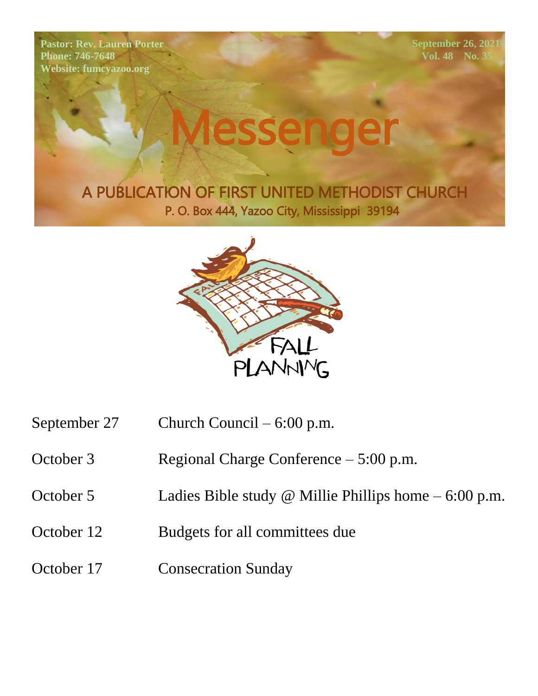**Pastor: Rev. Lauren Porter Phone: 746-7648 Website: fumcyazoo.org**

**September 26, 2021 Vol. 48** No. 3

Messenger

A PUBLICATION OF FIRST UNITED METHODIST CHURCH P. O. Box 444, Yazoo City, Mississippi 39194



- September 27 Church Council 6:00 p.m.
- October 3 Regional Charge Conference 5:00 p.m.
- October 5 Ladies Bible study @ Millie Phillips home 6:00 p.m.
- October 12 Budgets for all committees due
- October 17 Consecration Sunday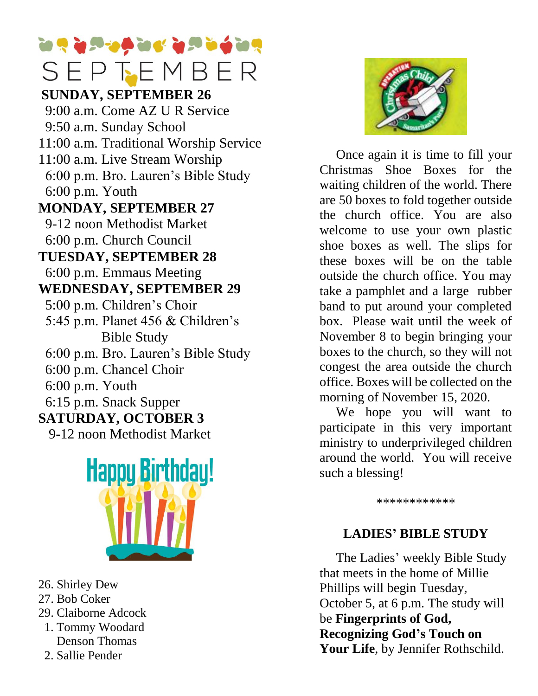# **The God of God of God of Pres** SEPTEMBER

**Phone: CEINIDAN SUNDAY, SEPTEMBER 26** 9-12 noon Methodist Market  $\frac{9}{600}$ 6:00 p.m. Church Council 9:00 a.m. Come AZ U R Service 9:50 a.m. Sunday School 11:00 a.m. Traditional Worship Service 11:00 a.m. Live Stream Worship 6:00 p.m. Bro. Lauren's Bible Study 6:00 p.m. Youth **MONDAY, SEPTEMBER 27 TUESDAY, SEPTEMBER 28** 6:00 p.m. Emmaus Meeting **WEDNESDAY, SEPTEMBER 29** 5:00 p.m. Children's Choir 5:45 p.m. Planet 456 & Children's Bible Study 6:00 p.m. Bro. Lauren's Bible Study 6:00 p.m. Chancel Choir 6:00 p.m. Youth 6:15 p.m. Snack Supper **SATURDAY, OCTOBER 3** 9-12 noon Methodist Market



- 26. Shirley Dew
- 27. Bob Coker
- 29. Claiborne Adcock
- 1. Tommy Woodard Denson Thomas
- 2. Sallie Pender



 Once again it is time to fill your Christmas Shoe Boxes for the waiting children of the world. There are 50 boxes to fold together outside the church office. You are also welcome to use your own plastic shoe boxes as well. The slips for these boxes will be on the table outside the church office. You may take a pamphlet and a large rubber band to put around your completed box. Please wait until the week of November 8 to begin bringing your boxes to the church, so they will not congest the area outside the church office. Boxes will be collected on the morning of November 15, 2020.

 We hope you will want to participate in this very important ministry to underprivileged children around the world. You will receive such a blessing!

\*\*\*\*\*\*\*\*\*\*\*\*

#### **LADIES' BIBLE STUDY**

The Ladies' weekly Bible Study that meets in the home of Millie Phillips will begin Tuesday, October 5, at 6 p.m. The study will be **Fingerprints of God, Recognizing God's Touch on Your Life**, by Jennifer Rothschild.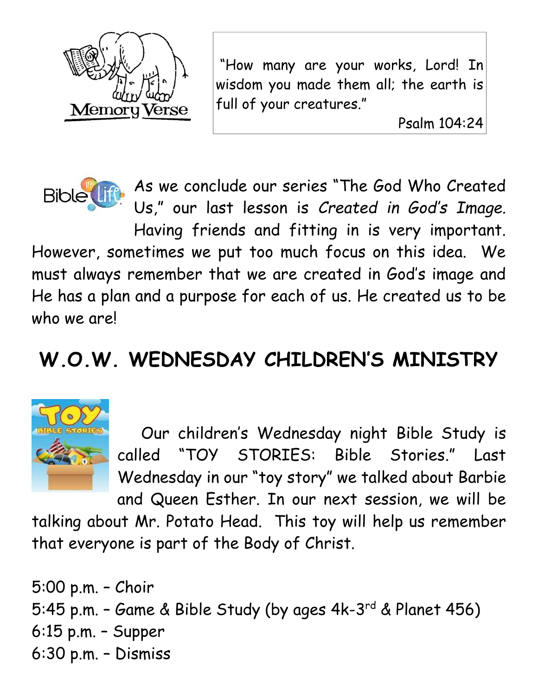

"How many are your works, Lord! In wisdom you made them all; the earth is full of your creatures."

Psalm 104:24



As we conclude our series "The God Who Created Us," our last lesson is *Created in God's Image.* 

Having friends and fitting in is very important. However, sometimes we put too much focus on this idea. We must always remember that we are created in God's image and He has a plan and a purpose for each of us. He created us to be who we are!

# **W.O.W. WEDNESDAY CHILDREN'S MINISTRY**



 Our children's Wednesday night Bible Study is called "TOY STORIES: Bible Stories." Last Wednesday in our "toy story" we talked about Barbie and Queen Esther. In our next session, we will be

talking about Mr. Potato Head. This toy will help us remember that everyone is part of the Body of Christ.

5:00 p.m. – Choir 5:45 p.m. - Game & Bible Study (by ages 4k-3<sup>rd</sup> & Planet 456) 6:15 p.m. – Supper 6:30 p.m. – Dismiss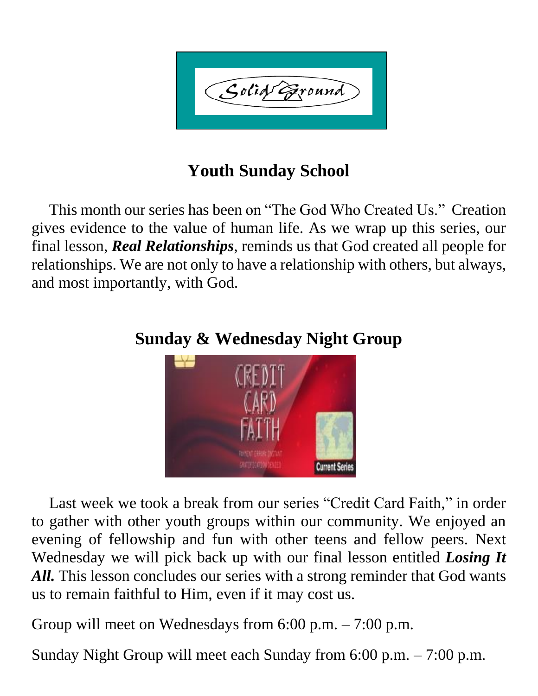Solid Exound

### **Youth Sunday School**

 This month our series has been on "The God Who Created Us." Creation gives evidence to the value of human life. As we wrap up this series, our final lesson, *Real Relationships*, reminds us that God created all people for relationships. We are not only to have a relationship with others, but always, and most importantly, with God.



**Sunday & Wednesday Night Group**

 Last week we took a break from our series "Credit Card Faith," in order to gather with other youth groups within our community. We enjoyed an evening of fellowship and fun with other teens and fellow peers. Next Wednesday we will pick back up with our final lesson entitled *Losing It*  All. This lesson concludes our series with a strong reminder that God wants us to remain faithful to Him, even if it may cost us.

Group will meet on Wednesdays from 6:00 p.m. – 7:00 p.m.

Sunday Night Group will meet each Sunday from 6:00 p.m. – 7:00 p.m.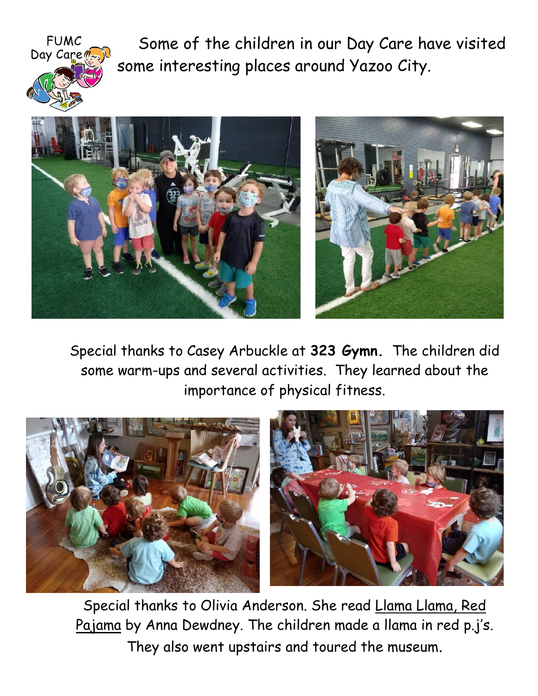

Some of the children in our Day Care have visited some interesting places around Yazoo City.



Special thanks to Casey Arbuckle at **323 Gymn.** The children did some warm-ups and several activities. They learned about the importance of physical fitness.



Special thanks to Olivia Anderson. She read Llama Llama, Red Pajama by Anna Dewdney. The children made a llama in red p.j's. They also went upstairs and toured the museum.